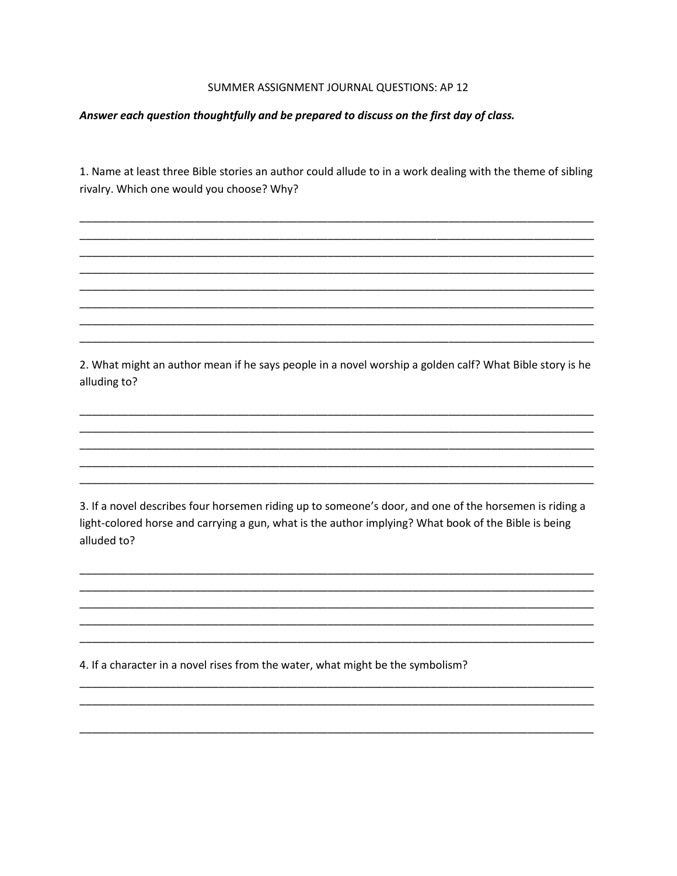## SUMMER ASSIGNMENT JOURNAL QUESTIONS: AP 12

## Answer each question thoughtfully and be prepared to discuss on the first day of class.

1. Name at least three Bible stories an author could allude to in a work dealing with the theme of sibling rivalry. Which one would you choose? Why?

2. What might an author mean if he says people in a novel worship a golden calf? What Bible story is he alluding to?

3. If a novel describes four horsemen riding up to someone's door, and one of the horsemen is riding a light-colored horse and carrying a gun, what is the author implying? What book of the Bible is being alluded to?

4. If a character in a novel rises from the water, what might be the symbolism?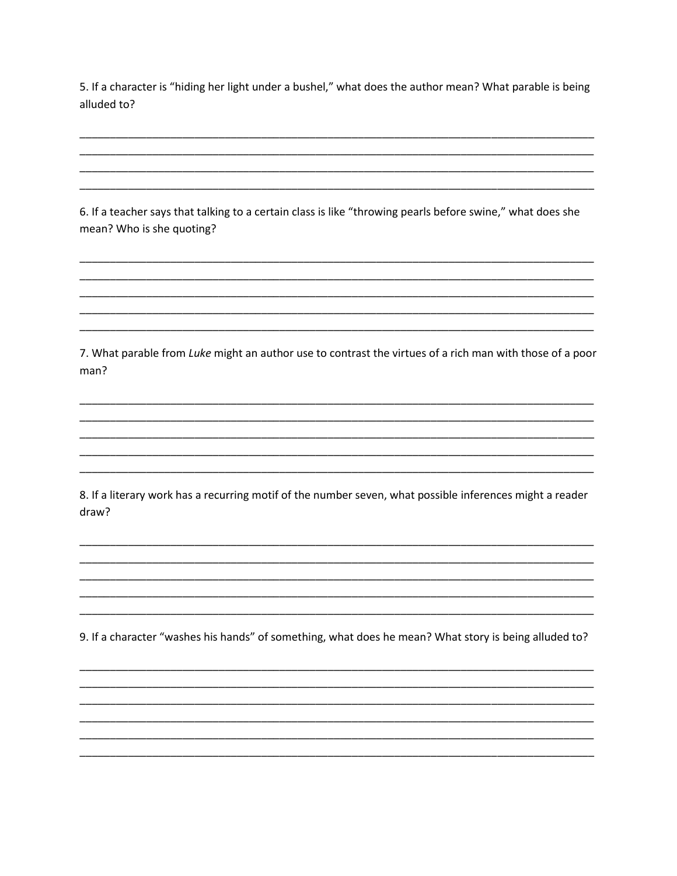5. If a character is "hiding her light under a bushel," what does the author mean? What parable is being alluded to?

6. If a teacher says that talking to a certain class is like "throwing pearls before swine," what does she mean? Who is she quoting?

7. What parable from Luke might an author use to contrast the virtues of a rich man with those of a poor man?

8. If a literary work has a recurring motif of the number seven, what possible inferences might a reader draw?

9. If a character "washes his hands" of something, what does he mean? What story is being alluded to?